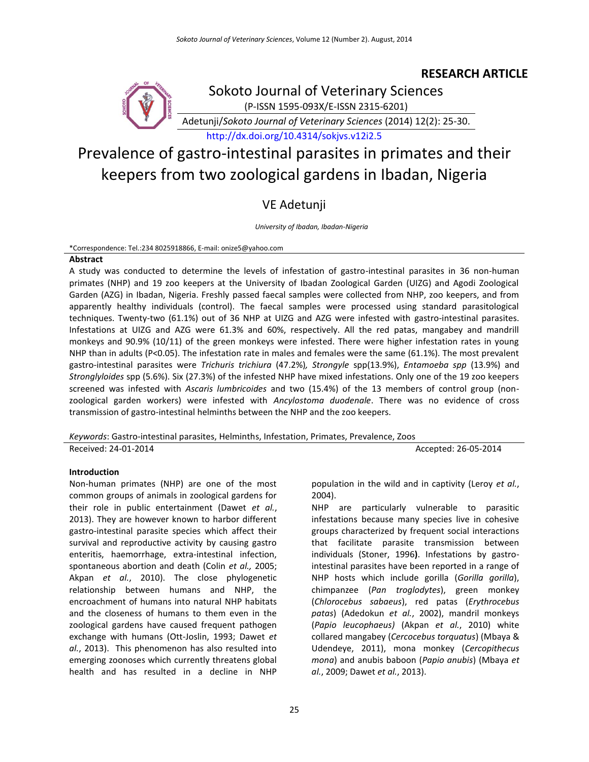### **RESEARCH ARTICLE**



Sokoto Journal of Veterinary Sciences (P-ISSN 1595-093X/E-ISSN 2315-6201)

Adetunji/*Sokoto Journal of Veterinary Sciences* (2014) 12(2): 25-30.

<http://dx.doi.org/10.4314/sokjvs.v12i2.5>

# Prevalence of gastro-intestinal parasites in primates and their keepers from two zoological gardens in Ibadan, Nigeria

## VE Adetunji

*University of Ibadan, Ibadan-Nigeria*

\*Correspondence: Tel.:234 8025918866, E-mail: onize5@yahoo.com

#### **Abstract**

A study was conducted to determine the levels of infestation of gastro-intestinal parasites in 36 non-human primates (NHP) and 19 zoo keepers at the University of Ibadan Zoological Garden (UIZG) and Agodi Zoological Garden (AZG) in Ibadan, Nigeria. Freshly passed faecal samples were collected from NHP, zoo keepers, and from apparently healthy individuals (control). The faecal samples were processed using standard parasitological techniques. Twenty-two (61.1%) out of 36 NHP at UIZG and AZG were infested with gastro-intestinal parasites. Infestations at UIZG and AZG were 61.3% and 60%, respectively. All the red patas, mangabey and mandrill monkeys and 90.9% (10/11) of the green monkeys were infested. There were higher infestation rates in young NHP than in adults (P<0.05). The infestation rate in males and females were the same (61.1%). The most prevalent gastro-intestinal parasites were *Trichuris trichiura* (47.2%)*, Strongyle* spp(13.9%), *Entamoeba spp* (13.9%) and *Stronglyloides* spp (5.6%). Six (27.3%) of the infested NHP have mixed infestations. Only one of the 19 zoo keepers screened was infested with *Ascaris lumbricoides* and two (15.4%) of the 13 members of control group (nonzoological garden workers) were infested with *Ancylostoma duodenale*. There was no evidence of cross transmission of gastro-intestinal helminths between the NHP and the zoo keepers.

*Keywords*: Gastro-intestinal parasites, Helminths, Infestation, Primates, Prevalence, Zoos

Received: 24-01-2014 Accepted: 26-05-2014

#### **Introduction**

Non-human primates (NHP) are one of the most common groups of animals in zoological gardens for their role in public entertainment (Dawet *et al.*, 2013). They are however known to harbor different gastro-intestinal parasite species which affect their survival and reproductive activity by causing gastro enteritis, haemorrhage, extra-intestinal infection, spontaneous abortion and death (Colin *et al.,* 2005; Akpan *et al.*, 2010). The close phylogenetic relationship between humans and NHP, the encroachment of humans into natural NHP habitats and the closeness of humans to them even in the zoological gardens have caused frequent pathogen exchange with humans (Ott-Joslin, 1993; Dawet *et al.*, 2013). This phenomenon has also resulted into emerging zoonoses which currently threatens global health and has resulted in a decline in NHP

population in the wild and in captivity (Leroy *et al.*, 2004).

NHP are particularly vulnerable to parasitic infestations because many species live in cohesive groups characterized by frequent social interactions that facilitate parasite transmission between individuals (Stoner, 1996**)**. Infestations by gastrointestinal parasites have been reported in a range of NHP hosts which include gorilla (*Gorilla gorilla*), chimpanzee (*Pan troglodytes*), green monkey (*Chlorocebus sabaeus*), red patas (*Erythrocebus patas*) (Adedokun *et al.*, 2002), mandril monkeys (*Papio leucophaeus)* (Akpan *et al.*, 2010) white collared mangabey (*Cercocebus torquatus*) (Mbaya & Udendeye, 2011), mona monkey (*Cercopithecus mona*) and anubis baboon (*Papio anubis*) (Mbaya *et al.*, 2009; Dawet *et al.*, 2013).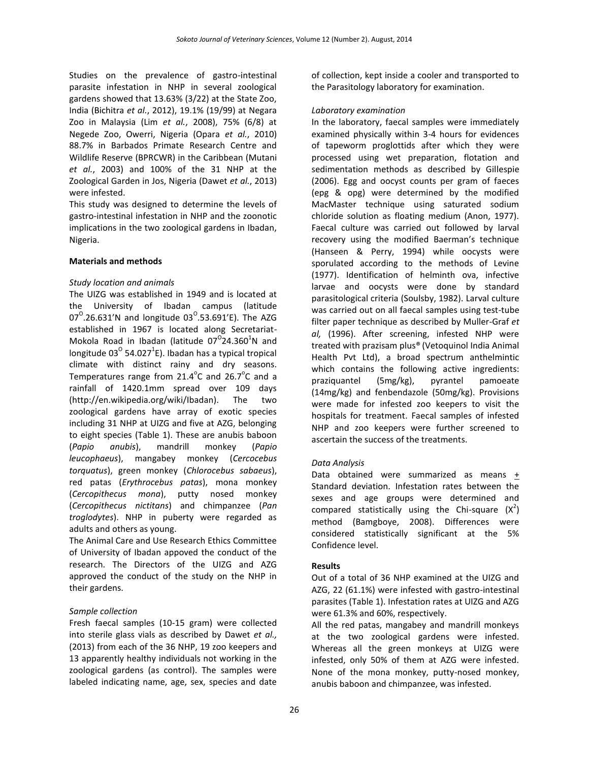Studies on the prevalence of gastro-intestinal parasite infestation in NHP in several zoological gardens showed that 13.63% (3/22) at the State Zoo, India (Bichitra *et al.*, 2012), 19.1% (19/99) at Negara Zoo in Malaysia (Lim *et al.*, 2008), 75% (6/8) at Negede Zoo, Owerri, Nigeria (Opara *et al.*, 2010) 88.7% in Barbados Primate Research Centre and Wildlife Reserve (BPRCWR) in the Caribbean (Mutani *et al.*, 2003) and 100% of the 31 NHP at the Zoological Garden in Jos, Nigeria (Dawet *et al.*, 2013) were infested.

This study was designed to determine the levels of gastro-intestinal infestation in NHP and the zoonotic implications in the two zoological gardens in Ibadan, Nigeria.

#### **Materials and methods**

#### *Study location and animals*

The UIZG was established in 1949 and is located at the University of Ibadan campus (latitude 07<sup>o</sup>.26.631'N and longitude 03<sup>o</sup>.53.691'E). The AZG established in 1967 is located along Secretariat-Mokola Road in Ibadan (latitude  $07^{\circ}$ 24.360<sup>1</sup>N and longitude 03<sup>o</sup> 54.027<sup>1</sup>E). Ibadan has a typical tropical climate with distinct rainy and dry seasons. Temperatures range from  $21.4^{\circ}$ C and  $26.7^{\circ}$ C and a rainfall of 1420.1mm spread over 109 days (http://en.wikipedia.org/wiki/Ibadan). The two zoological gardens have array of exotic species including 31 NHP at UIZG and five at AZG, belonging to eight species (Table 1). These are anubis baboon (*Papio anubis*), mandrill monkey (*Papio leucophaeus*), mangabey monkey (*Cercocebus torquatus*), green monkey (*Chlorocebus sabaeus*), red patas (*Erythrocebus patas*), mona monkey (*Cercopithecus mona*), putty nosed monkey (*Cercopithecus nictitans*) and chimpanzee (*Pan troglodytes*). NHP in puberty were regarded as adults and others as young.

The Animal Care and Use Research Ethics Committee of University of Ibadan appoved the conduct of the research. The Directors of the UIZG and AZG approved the conduct of the study on the NHP in their gardens.

#### *Sample collection*

Fresh faecal samples (10-15 gram) were collected into sterile glass vials as described by Dawet *et al.,* (2013) from each of the 36 NHP, 19 zoo keepers and 13 apparently healthy individuals not working in the zoological gardens (as control). The samples were labeled indicating name, age, sex, species and date of collection, kept inside a cooler and transported to the Parasitology laboratory for examination.

#### *Laboratory examination*

In the laboratory, faecal samples were immediately examined physically within 3-4 hours for evidences of tapeworm proglottids after which they were processed using wet preparation, flotation and sedimentation methods as described by Gillespie (2006). Egg and oocyst counts per gram of faeces (epg & opg) were determined by the modified MacMaster technique using saturated sodium chloride solution as floating medium (Anon, 1977). Faecal culture was carried out followed by larval recovery using the modified Baerman's technique (Hanseen & Perry, 1994) while oocysts were sporulated according to the methods of Levine (1977). Identification of helminth ova, infective larvae and oocysts were done by standard parasitological criteria (Soulsby, 1982). Larval culture was carried out on all faecal samples using test-tube filter paper technique as described by Muller-Graf *et al,* (1996). After screening, infested NHP were treated with prazisam plus® (Vetoquinol India Animal Health Pvt Ltd), a broad spectrum anthelmintic which contains the following active ingredients: praziquantel (5mg/kg), pyrantel pamoeate (14mg/kg) and fenbendazole (50mg/kg). Provisions were made for infested zoo keepers to visit the hospitals for treatment. Faecal samples of infested NHP and zoo keepers were further screened to ascertain the success of the treatments.

#### *Data Analysis*

Data obtained were summarized as means + Standard deviation. Infestation rates between the sexes and age groups were determined and compared statistically using the Chi-square  $(X^2)$ method (Bamgboye, 2008). Differences were considered statistically significant at the 5% Confidence level.

#### **Results**

Out of a total of 36 NHP examined at the UIZG and AZG, 22 (61.1%) were infested with gastro-intestinal parasites (Table 1). Infestation rates at UIZG and AZG were 61.3% and 60%, respectively.

All the red patas, mangabey and mandrill monkeys at the two zoological gardens were infested. Whereas all the green monkeys at UIZG were infested, only 50% of them at AZG were infested. None of the mona monkey, putty-nosed monkey, anubis baboon and chimpanzee, was infested.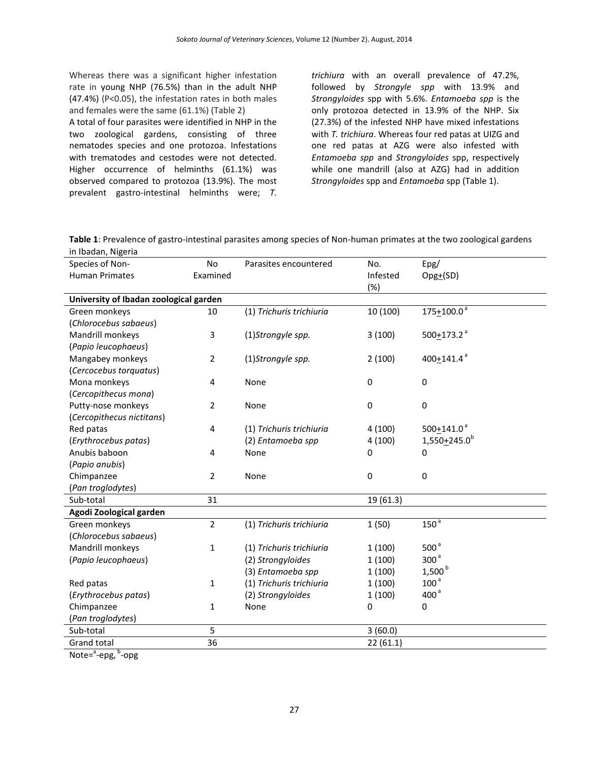Whereas there was a significant higher infestation rate in young NHP (76.5%) than in the adult NHP (47.4%) (P<0.05), the infestation rates in both males and females were the same (61.1%) (Table 2)

A total of four parasites were identified in NHP in the two zoological gardens, consisting of three nematodes species and one protozoa. Infestations with trematodes and cestodes were not detected. Higher occurrence of helminths (61.1%) was observed compared to protozoa (13.9%). The most prevalent gastro-intestinal helminths were; *T.* 

*trichiura* with an overall prevalence of 47.2%, followed by *Strongyle spp* with 13.9% and *Strongyloides* spp with 5.6%. *Entamoeba spp* is the only protozoa detected in 13.9% of the NHP. Six (27.3%) of the infested NHP have mixed infestations with *T. trichiura*. Whereas four red patas at UIZG and one red patas at AZG were also infested with *Entamoeba spp* and *Strongyloides* spp, respectively while one mandrill (also at AZG) had in addition *Strongyloides* spp and *Entamoeba* spp (Table 1).

**Table 1**: Prevalence of gastro-intestinal parasites among species of Non-human primates at the two zoological gardens in Ibadan, Nigeria

| Species of Non-                        | No           | Parasites encountered    | No.             | Epg/                     |  |  |  |  |
|----------------------------------------|--------------|--------------------------|-----------------|--------------------------|--|--|--|--|
| <b>Human Primates</b>                  | Examined     |                          | Infested<br>(%) | $Opg_{+}(SD)$            |  |  |  |  |
| University of Ibadan zoological garden |              |                          |                 |                          |  |  |  |  |
| Green monkeys                          | 10           | (1) Trichuris trichiuria | 10 (100)        | $175+100.0^a$            |  |  |  |  |
| (Chlorocebus sabaeus)                  |              |                          |                 |                          |  |  |  |  |
| Mandrill monkeys                       | 3            | (1)Strongyle spp.        | 3(100)          | $500+173.2$ <sup>a</sup> |  |  |  |  |
| (Papio leucophaeus)                    |              |                          |                 |                          |  |  |  |  |
| Mangabey monkeys                       | 2            | (1)Strongyle spp.        | 2(100)          | 400 $+$ 141.4 $a$        |  |  |  |  |
| (Cercocebus torquatus)                 |              |                          |                 |                          |  |  |  |  |
| Mona monkeys                           | 4            | $\pmb{0}$<br>None        |                 | $\pmb{0}$                |  |  |  |  |
| (Cercopithecus mona)                   |              |                          |                 |                          |  |  |  |  |
| Putty-nose monkeys                     | 2            | None                     | $\mathbf 0$     | $\mathbf 0$              |  |  |  |  |
| (Cercopithecus nictitans)              |              |                          |                 |                          |  |  |  |  |
| Red patas                              | 4            | (1) Trichuris trichiuria | 4(100)          | 500+141.0 $a$            |  |  |  |  |
| (Erythrocebus patas)                   |              | (2) Entamoeba spp        | 4(100)          | $1,550+245.0^b$          |  |  |  |  |
| Anubis baboon                          | 4            | None                     | 0               | 0                        |  |  |  |  |
| (Papio anubis)                         |              |                          |                 |                          |  |  |  |  |
| Chimpanzee<br>2                        |              | None                     | $\mathbf 0$     | $\bf{0}$                 |  |  |  |  |
| (Pan troglodytes)                      |              |                          |                 |                          |  |  |  |  |
| Sub-total                              | 31           |                          | 19 (61.3)       |                          |  |  |  |  |
| Agodi Zoological garden                |              |                          |                 |                          |  |  |  |  |
| Green monkeys                          | 2            | (1) Trichuris trichiuria | 1(50)           | 150 <sup>3</sup>         |  |  |  |  |
| (Chlorocebus sabaeus)                  |              |                          |                 |                          |  |  |  |  |
| Mandrill monkeys                       | 1            | (1) Trichuris trichiuria | 1(100)          | 500 <sup>a</sup>         |  |  |  |  |
| (Papio leucophaeus)                    |              | (2) Strongyloides        | 1(100)          | 300 <sup>a</sup>         |  |  |  |  |
|                                        |              | (3) Entamoeba spp        | 1(100)          | 1,500 <sup>b</sup>       |  |  |  |  |
| Red patas                              | $\mathbf{1}$ | (1) Trichuris trichiuria | 1(100)          | 100 <sup>a</sup>         |  |  |  |  |
| (Erythrocebus patas)                   |              | (2) Strongyloides        | 1(100)          | 400 <sup>a</sup>         |  |  |  |  |
| Chimpanzee                             | 1            | None                     | 0               | $\mathbf 0$              |  |  |  |  |
| (Pan troglodytes)                      |              |                          |                 |                          |  |  |  |  |
| Sub-total                              | 5            |                          | 3(60.0)         |                          |  |  |  |  |
| Grand total                            | 36           |                          | 22(61.1)        |                          |  |  |  |  |
| $\overline{a}$<br><sub>b</sub>         |              |                          |                 |                          |  |  |  |  |

Note=<sup>a</sup>-epg, <sup>b</sup>-opg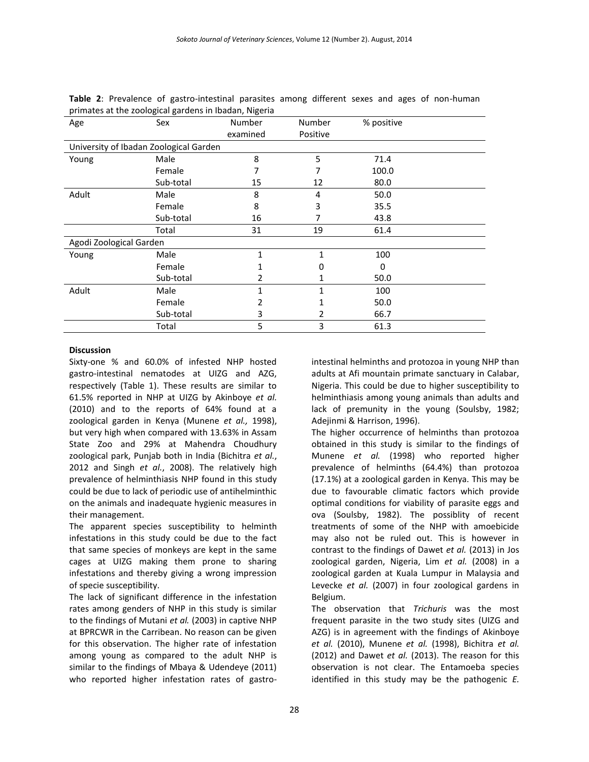| Age                                    | Sex       | Number   | Number       | % positive |  |
|----------------------------------------|-----------|----------|--------------|------------|--|
|                                        |           | examined | Positive     |            |  |
| University of Ibadan Zoological Garden |           |          |              |            |  |
| Young                                  | Male      | 8        | 5            | 71.4       |  |
|                                        | Female    | 7        |              | 100.0      |  |
|                                        | Sub-total | 15       | 12           | 80.0       |  |
| Adult                                  | Male      | 8        | 4            | 50.0       |  |
|                                        | Female    | 8        | 3            | 35.5       |  |
|                                        | Sub-total | 16       |              | 43.8       |  |
|                                        | Total     | 31       | 19           | 61.4       |  |
| Agodi Zoological Garden                |           |          |              |            |  |
| Young                                  | Male      | 1        | $\mathbf{1}$ | 100        |  |
|                                        | Female    |          | 0            | 0          |  |
|                                        | Sub-total | 2        | 1            | 50.0       |  |
| Adult                                  | Male      | 1        | 1            | 100        |  |
|                                        | Female    | 2        |              | 50.0       |  |
|                                        | Sub-total | 3        | 2            | 66.7       |  |
|                                        | Total     | 5        | 3            | 61.3       |  |

|                                                       |  |  |  | <b>Table 2:</b> Prevalence of gastro-intestinal parasites among different sexes and ages of non-human |  |  |  |  |  |  |  |  |
|-------------------------------------------------------|--|--|--|-------------------------------------------------------------------------------------------------------|--|--|--|--|--|--|--|--|
| primates at the zoological gardens in Ibadan, Nigeria |  |  |  |                                                                                                       |  |  |  |  |  |  |  |  |

#### **Discussion**

Sixty-one % and 60.0% of infested NHP hosted gastro-intestinal nematodes at UIZG and AZG, respectively (Table 1). These results are similar to 61.5% reported in NHP at UIZG by Akinboye *et al.* (2010) and to the reports of 64% found at a zoological garden in Kenya (Munene *et al.,* 1998), but very high when compared with 13.63% in Assam State Zoo and 29% at Mahendra Choudhury zoological park, Punjab both in India (Bichitra *et al.*, 2012 and Singh *et al.*, 2008). The relatively high prevalence of helminthiasis NHP found in this study could be due to lack of periodic use of antihelminthic on the animals and inadequate hygienic measures in their management.

The apparent species susceptibility to helminth infestations in this study could be due to the fact that same species of monkeys are kept in the same cages at UIZG making them prone to sharing infestations and thereby giving a wrong impression of specie susceptibility.

The lack of significant difference in the infestation rates among genders of NHP in this study is similar to the findings of Mutani *et al.* (2003) in captive NHP at BPRCWR in the Carribean. No reason can be given for this observation. The higher rate of infestation among young as compared to the adult NHP is similar to the findings of Mbaya & Udendeye (2011) who reported higher infestation rates of gastrointestinal helminths and protozoa in young NHP than adults at Afi mountain primate sanctuary in Calabar, Nigeria. This could be due to higher susceptibility to helminthiasis among young animals than adults and lack of premunity in the young (Soulsby, 1982; Adejinmi & Harrison, 1996).

The higher occurrence of helminths than protozoa obtained in this study is similar to the findings of Munene *et al.* (1998) who reported higher prevalence of helminths (64.4%) than protozoa (17.1%) at a zoological garden in Kenya. This may be due to favourable climatic factors which provide optimal conditions for viability of parasite eggs and ova (Soulsby, 1982). The possiblity of recent treatments of some of the NHP with amoebicide may also not be ruled out. This is however in contrast to the findings of Dawet *et al.* (2013) in Jos zoological garden, Nigeria, Lim *et al.* (2008) in a zoological garden at Kuala Lumpur in Malaysia and Levecke *et al.* (2007) in four zoological gardens in Belgium.

The observation that *Trichuris* was the most frequent parasite in the two study sites (UIZG and AZG) is in agreement with the findings of Akinboye *et al.* (2010), Munene *et al.* (1998), Bichitra *et al.* (2012) and Dawet *et al.* (2013). The reason for this observation is not clear. The Entamoeba species identified in this study may be the pathogenic *E.*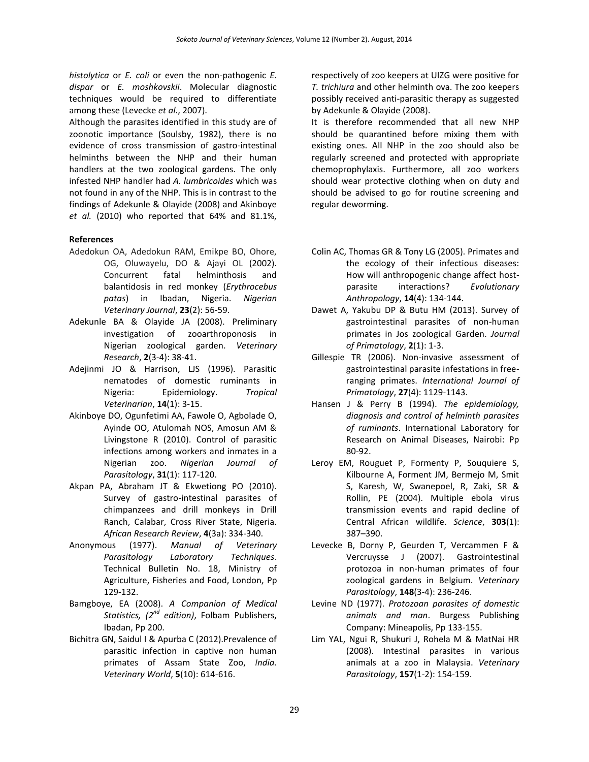*histolytica* or *E. coli* or even the non-pathogenic *E. dispar* or *E. moshkovskii*. Molecular diagnostic techniques would be required to differentiate among these (Levecke *et al*., 2007).

Although the parasites identified in this study are of zoonotic importance (Soulsby, 1982), there is no evidence of cross transmission of gastro-intestinal helminths between the NHP and their human handlers at the two zoological gardens. The only infested NHP handler had *A. lumbricoides* which was not found in any of the NHP. This is in contrast to the findings of Adekunle & Olayide (2008) and Akinboye *et al.* (2010) who reported that 64% and 81.1%,

#### **References**

- Adedokun OA, Adedokun RAM, Emikpe BO, Ohore, OG, Oluwayelu, DO & Ajayi OL (2002). Concurrent fatal helminthosis and balantidosis in red monkey (*Erythrocebus patas*) in Ibadan, Nigeria. *Nigerian Veterinary Journal*, **23**(2): 56-59.
- Adekunle BA & Olayide JA (2008). Preliminary investigation of zooarthroponosis in Nigerian zoological garden. *Veterinary Research*, **2**(3-4): 38-41.
- Adejinmi JO & Harrison, LJS (1996). Parasitic nematodes of domestic ruminants in Nigeria: Epidemiology. *Tropical Veterinarian*, **14**(1): 3-15.
- Akinboye DO, Ogunfetimi AA, Fawole O, Agbolade O, Ayinde OO, Atulomah NOS, Amosun AM & Livingstone R (2010). Control of parasitic infections among workers and inmates in a Nigerian zoo. *Nigerian Journal of Parasitology*, **31**(1): 117-120.
- Akpan PA, Abraham JT & Ekwetiong PO (2010). Survey of gastro-intestinal parasites of chimpanzees and drill monkeys in Drill Ranch, Calabar, Cross River State, Nigeria. *African Research Review*, **4**(3a): 334-340.
- Anonymous (1977). *Manual of Veterinary Parasitology Laboratory Techniques*. Technical Bulletin No. 18, Ministry of Agriculture, Fisheries and Food, London, Pp 129-132.
- Bamgboye, EA (2008). *A Companion of Medical Statistics, (2nd edition)*, Folbam Publishers, Ibadan, Pp 200.
- Bichitra GN, Saidul I & Apurba C (2012).Prevalence of parasitic infection in captive non human primates of Assam State Zoo, *India. Veterinary World*, **5**(10): 614-616.

respectively of zoo keepers at UIZG were positive for *T. trichiura* and other helminth ova. The zoo keepers possibly received anti-parasitic therapy as suggested by Adekunle & Olayide (2008).

It is therefore recommended that all new NHP should be quarantined before mixing them with existing ones. All NHP in the zoo should also be regularly screened and protected with appropriate chemoprophylaxis. Furthermore, all zoo workers should wear protective clothing when on duty and should be advised to go for routine screening and regular deworming.

- Colin AC, Thomas GR & Tony LG (2005). Primates and the ecology of their infectious diseases: How will anthropogenic change affect hostparasite interactions? *Evolutionary Anthropology*, **14**(4): 134-144.
- Dawet A, Yakubu DP & Butu HM (2013). Survey of gastrointestinal parasites of non-human primates in Jos zoological Garden. *Journal of Primatology*, **2**(1): 1-3.
- Gillespie TR (2006). Non-invasive assessment of gastrointestinal parasite infestations in freeranging primates. *International Journal of Primatology*, **27**(4): 1129-1143.
- Hansen J & Perry B (1994). *The epidemiology, diagnosis and control of helminth parasites of ruminants*. International Laboratory for Research on Animal Diseases, Nairobi: Pp 80-92.
- Leroy EM, Rouguet P, Formenty P, Souquiere S, Kilbourne A, Forment JM, Bermejo M, Smit S, Karesh, W, Swanepoel, R, Zaki, SR & Rollin, PE (2004). Multiple ebola virus transmission events and rapid decline of Central African wildlife. *Science*, **303**(1): 387–390.
- Levecke B, Dorny P, Geurden T, Vercammen F & Vercruysse J (2007). Gastrointestinal protozoa in non-human primates of four zoological gardens in Belgium. *Veterinary Parasitology*, **148**(3-4): 236-246.
- Levine ND (1977). *Protozoan parasites of domestic animals and man*. Burgess Publishing Company: Mineapolis, Pp 133-155.
- Lim YAL, Ngui R, Shukuri J, Rohela M & MatNai HR (2008). Intestinal parasites in various animals at a zoo in Malaysia. *Veterinary Parasitology*, **157**(1-2): 154-159.